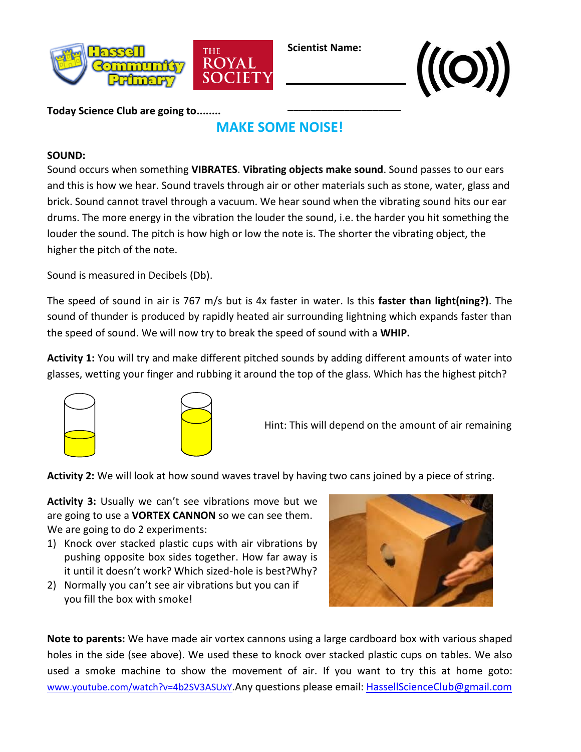

**Scientist Name:**

**\_\_\_\_\_\_\_\_\_\_\_\_\_\_\_\_\_\_\_\_**



**Today Science Club are going to........**

## **MAKE SOME NOISE!**

## **SOUND:**

Sound occurs when something **VIBRATES**. **Vibrating objects make sound**. Sound passes to our ears and this is how we hear. Sound travels through air or other materials such as stone, water, glass and brick. Sound cannot travel through a vacuum. We hear sound when the vibrating sound hits our ear drums. The more energy in the vibration the louder the sound, i.e. the harder you hit something the louder the sound. The pitch is how high or low the note is. The shorter the vibrating object, the higher the pitch of the note.

Sound is measured in Decibels (Db).

The speed of sound in air is 767 m/s but is 4x faster in water. Is this **faster than light(ning?)**. The sound of thunder is produced by rapidly heated air surrounding lightning which expands faster than the speed of sound. We will now try to break the speed of sound with a **WHIP.**

**Activity 1:** You will try and make different pitched sounds by adding different amounts of water into glasses, wetting your finger and rubbing it around the top of the glass. Which has the highest pitch?



Hint: This will depend on the amount of air remaining

**Activity 2:** We will look at how sound waves travel by having two cans joined by a piece of string.

**Activity 3:** Usually we can't see vibrations move but we are going to use a **VORTEX CANNON** so we can see them. We are going to do 2 experiments:

- 1) Knock over stacked plastic cups with air vibrations by pushing opposite box sides together. How far away is it until it doesn't work? Which sized-hole is best?Why?
- 2) Normally you can't see air vibrations but you can if you fill the box with smoke!



**Note to parents:** We have made air vortex cannons using a large cardboard box with various shaped holes in the side (see above). We used these to knock over stacked plastic cups on tables. We also used a smoke machine to show the movement of air. If you want to try this at home goto: www.youtube.com/watch?v=4b2SV3ASUxY</u>.Any questions please email: [HassellScienceClub@gmail.com](mailto:HassellScienceClub@gmail.com)